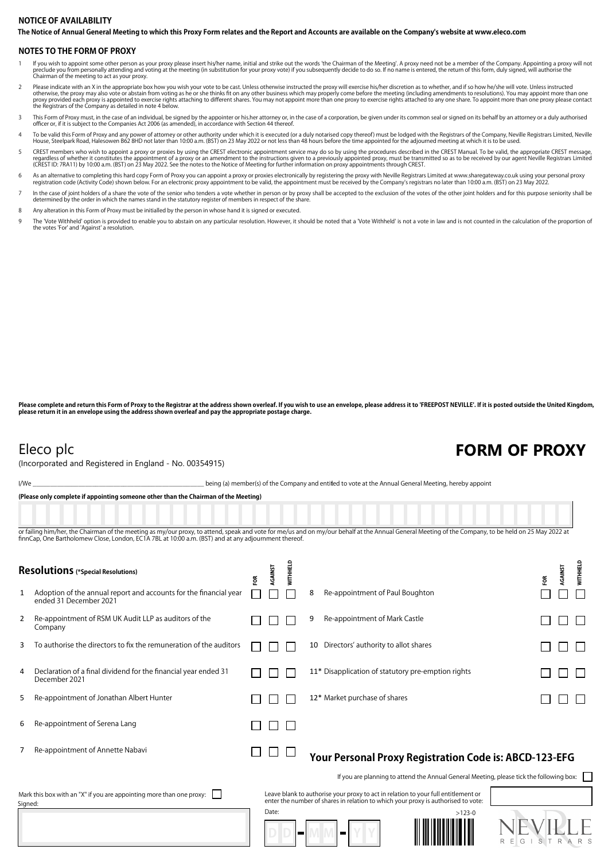## **The Notice of Annual General Meeting to which this Proxy Form relates and the Report and Accounts are available on the Company's website at www.eleco.com NOTICE OF AVAILABILITY**

### **NOTES TO THE FORM OF PROXY**

- lf you wish to appoint some other person as your proxy please insert his/her name, initial and strike out the words 'the Chairman of the Meeting'. A proxy need not be a member of the Company. Appointing a proxy will not pr preclude you from personally accoming and v<br>Chairman of the meeting to act as your proxy.
- Please indicate with an X in the appropriate box how you wish your vote to be cast. Unless otherwise instructed the proxy will exercise his/her discretion as to whether, and if so how he/she will vote. Unless instructed<br>ot
- 3 This Form of Proxy must, in the case of an individual, be signed by the appointer or his.her attorney or, in the case of a corporation, be given under its common seal or signed on its behalf by an attorney or a duly auth
- To be valid this Form of Proxy and any power of attorney or other authority under which it is executed (or a duly notarised copy thereof) must be lodged with the Registrars of the Company, Neville Registrars Limited, Nevil
- 5 CREST members who wish to appoint a proxy or proxies by using the CREST electronic appointment service may do so by using the procedures described in the CREST Manual. To be valid, the appropriate CREST message, regardless of whether it constitutes the appointment of a proxy or an amendment to the instructions given to a previously appointed proxy, must be transmitted so as to be received by our agent Neville Registrars Limited<br>(C
- As an alternative to completing this hard copy Form of Proxy you can appoint a proxy or proxies electronically by registering the proxy with Neville Registrars Limited at www.sharegateway.co.uk using your personal proxy or
- In the case of joint holders of a share the vote of the senior who tenders a vote whether in person or by proxy shall be accepted to the exclusion of the votes of the other joint holders and for this purpose seniority shal

8 Any alteration in this Form of Proxy must be initialled by the person in whose hand it is signed or executed.

The 'Vote Withheld' option is provided to enable you to abstain on any particular resolution. However, it should be noted that a 'Vote Withheld' is not a yote in law and is not counted in the calculation of the proportion the votes 'For' and 'Against' a resolution.

Please complete and return this Form of Proxy to the Registrar at the address shown overleaf. If you wish to use an envelope, please address it to 'FREEPOST NEVILLE'. If it is posted outside the United Kingdom, **please return it in an envelope using the address shown overleaf and pay the appropriate postage charge.**

(Incorporated and Registered in England - No. 00354915)

## Eleco plc **FORM OF PROXY**

I/We state of the Company and entitled to vote at the Annual General Meeting, hereby appoint

**(Please only complete if appointing someone other than the Chairman of the Meeting)**

or failing him/her, the Chairman of the meeting as my/our proxy, to attend, speak and vote for me/us and on my/our behalf at the Annual General Meeting of the Company, to be held on 25 May 2022 at finnCap, One Bartholomew Close, London, EC1A 7BL at 10:00 a.m. (BST) and at any adjournment thereof

| Resolutions (*Special Resolutions)                                              |                                                                                             | ξ | AGAINST | WITHHELD |    |                                                                                                                                                                         | FOR           | WITHHELD<br>AGAINST |
|---------------------------------------------------------------------------------|---------------------------------------------------------------------------------------------|---|---------|----------|----|-------------------------------------------------------------------------------------------------------------------------------------------------------------------------|---------------|---------------------|
| 1                                                                               | Adoption of the annual report and accounts for the financial year<br>ended 31 December 2021 |   |         |          | 8  | Re-appointment of Paul Boughton                                                                                                                                         |               |                     |
| 2                                                                               | Re-appointment of RSM UK Audit LLP as auditors of the<br>Company                            |   |         |          | 9  | Re-appointment of Mark Castle                                                                                                                                           |               |                     |
| 3                                                                               | To authorise the directors to fix the remuneration of the auditors                          |   |         |          | 10 | Directors' authority to allot shares                                                                                                                                    |               |                     |
| 4                                                                               | Declaration of a final dividend for the financial year ended 31<br>December 2021            |   |         |          |    | 11* Disapplication of statutory pre-emption rights                                                                                                                      |               |                     |
| 5                                                                               | Re-appointment of Jonathan Albert Hunter                                                    |   |         |          |    | 12* Market purchase of shares                                                                                                                                           |               |                     |
| 6                                                                               | Re-appointment of Serena Lang                                                               |   |         |          |    |                                                                                                                                                                         |               |                     |
|                                                                                 | Re-appointment of Annette Nabavi                                                            |   |         |          |    | Your Personal Proxy Registration Code is: ABCD-123-EFG                                                                                                                  |               |                     |
|                                                                                 |                                                                                             |   |         |          |    | If you are planning to attend the Annual General Meeting, please tick the following box:                                                                                |               |                     |
| Mark this box with an "X" if you are appointing more than one proxy:<br>Signed: |                                                                                             |   |         |          |    | Leave blank to authorise your proxy to act in relation to your full entitlement or<br>enter the number of shares in relation to which your proxy is authorised to vote: |               |                     |
|                                                                                 |                                                                                             |   | Date:   |          |    | $>123-0$                                                                                                                                                                | R E G<br>ISTR |                     |